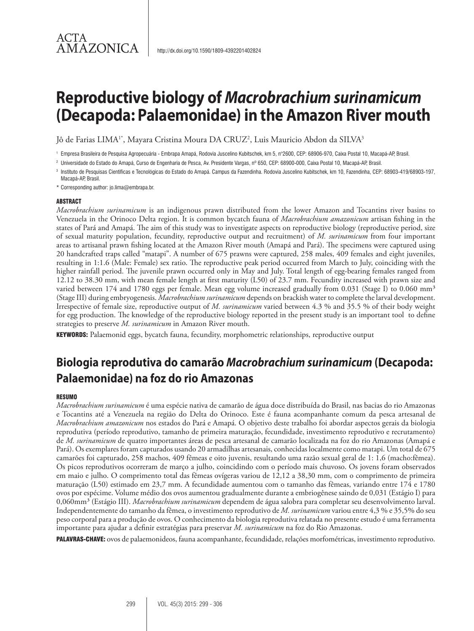# **Reproductive biology of** *Macrobrachium surinamicum* **(Decapoda: Palaemonidae) in the Amazon River mouth**

Jô de Farias LIMA'\*, Mayara Cristina Moura DA CRUZ<sup>2</sup>, Luis Mauricio Abdon da SILVA<sup>3</sup>

<sup>1</sup> Empresa Brasileira de Pesquisa Agropecuária - Embrapa Amapá, Rodovia Juscelino Kubitschek, km 5, n°2600, CEP: 68906-970, Caixa Postal 10, Macapá-AP, Brasil.

<sup>2</sup> Universidade do Estado do Amapá, Curso de Engenharia de Pesca, Av. Presidente Vargas, nº 650, CEP: 68900-000, Caixa Postal 10, Macapá-AP, Brasil.

<sup>3</sup> Instituto de Pesquisas Cientificas e Tecnológicas do Estado do Amapá. Campus da Fazendinha. Rodovia Juscelino Kubitschek, km 10, Fazendinha, CEP: 68903-419/68903-197, Macapá-AP, Brasil.

\* Corresponding author: jo.lima@embrapa.br.

#### ABSTRACT

ACTA

AMAZONICA

*Macrobrachium surinamicum* is an indigenous prawn distributed from the lower Amazon and Tocantins river basins to Venezuela in the Orinoco Delta region. It is common bycatch fauna of *Macrobrachium amazonicum* artisan fishing in the states of Pará and Amapá. The aim of this study was to investigate aspects on reproductive biology (reproductive period, size of sexual maturity population, fecundity, reproductive output and recruitment) of *M. surinamicum* from four important areas to artisanal prawn fishing located at the Amazon River mouth (Amapá and Pará). The specimens were captured using 20 handcrafted traps called "matapi". A number of 675 prawns were captured, 258 males, 409 females and eight juveniles, resulting in 1:1.6 (Male: Female) sex ratio. The reproductive peak period occurred from March to July, coinciding with the higher rainfall period. The juvenile prawn occurred only in May and July. Total length of egg-bearing females ranged from 12.12 to 38.30 mm, with mean female length at first maturity (L50) of 23.7 mm. Fecundity increased with prawn size and varied between 174 and 1780 eggs per female. Mean egg volume increased gradually from 0.031 (Stage I) to 0.060 mm<sup>3</sup> (Stage III) during embryogenesis. *Macrobrachium surinamicum* depends on brackish water to complete the larval development. Irrespective of female size, reproductive output of *M. surinamicum* varied between 4.3 % and 35.5 % of their body weight for egg production. The knowledge of the reproductive biology reported in the present study is an important tool to define strategies to preserve *M. surinamicum* in Amazon River mouth.

KEYWORDS: Palaemonid eggs, bycatch fauna, fecundity, morphometric relationships, reproductive output

## **Biologia reprodutiva do camarão** *Macrobrachium surinamicum* **(Decapoda: Palaemonidae) na foz do rio Amazonas**

#### RESUMO

*Macrobrachium surinamicum* é uma espécie nativa de camarão de água doce distribuída do Brasil, nas bacias do rio Amazonas e Tocantins até a Venezuela na região do Delta do Orinoco. Este é fauna acompanhante comum da pesca artesanal de *Macrobrachium amazonicum* nos estados do Pará e Amapá. O objetivo deste trabalho foi abordar aspectos gerais da biologia reprodutiva (período reprodutivo, tamanho de primeira maturação, fecundidade, investimento reprodutivo e recrutamento) de *M. surinamicum* de quatro importantes áreas de pesca artesanal de camarão localizada na foz do rio Amazonas (Amapá e Pará). Os exemplares foram capturados usando 20 armadilhas artesanais, conhecidas localmente como matapi. Um total de 675 camarões foi capturado, 258 machos, 409 fêmeas e oito juvenis, resultando uma razão sexual geral de 1: 1,6 (macho:fêmea). Os picos reprodutivos ocorreram de março a julho, coincidindo com o período mais chuvoso. Os jovens foram observados em maio e julho. O comprimento total das fêmeas ovígeras variou de 12,12 a 38,30 mm, com o comprimento de primeira maturação (L50) estimado em 23,7 mm. A fecundidade aumentou com o tamanho das fêmeas, variando entre 174 e 1780 ovos por espécime. Volume médio dos ovos aumentou gradualmente durante a embriogênese saindo de 0,031 (Estágio I) para 0,060mm³ (Estágio III). *Macrobrachium surinamicum* dependem de água salobra para completar seu desenvolvimento larval. Independentemente do tamanho da fêmea, o investimento reprodutivo de *M. surinamicum* variou entre 4,3 % e 35,5% do seu peso corporal para a produção de ovos. O conhecimento da biologia reprodutiva relatada no presente estudo é uma ferramenta importante para ajudar a definir estratégias para preservar *M. surinamicum* na foz do Rio Amazonas.

PALAVRAS-CHAVE: ovos de palaemonideos, fauna acompanhante, fecundidade, relações morfométricas, investimento reprodutivo.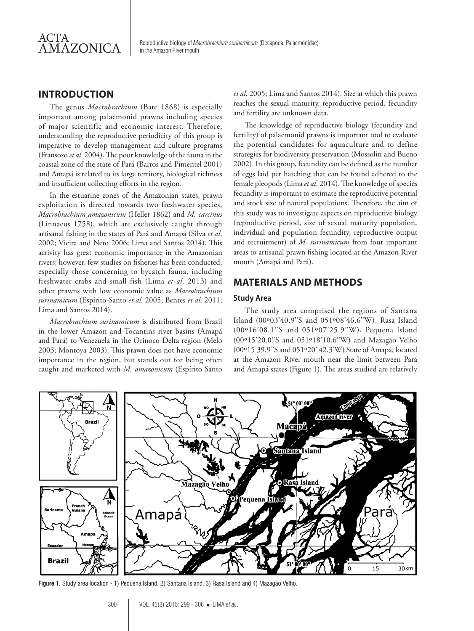## **INTRODUCTION**

The genus *Macrobrachium* (Bate 1868) is especially important among palaemonid prawns including species of major scientific and economic interest. Therefore, understanding the reproductive periodicity of this group is imperative to develop management and culture programs (Fransozo *et al*. 2004). The poor knowledge of the fauna in the coastal zone of the state of Pará (Barros and Pimentel 2001) and Amapá is related to its large territory, biological richness and insufficient collecting efforts in the region.

In the estuarine zones of the Amazonian states, prawn exploitation is directed towards two freshwater species, *Macrobrachium amazonicum* (Heller 1862) and *M. carcinus* (Linnaeus 1758), which are exclusively caught through artisanal fishing in the states of Pará and Amapá (Silva *et al*. 2002; Vieira and Neto 2006; Lima and Santos 2014). This activity has great economic importance in the Amazonian rivers; however, few studies on fisheries has been conducted, especially those concerning to bycatch fauna, including freshwater crabs and small fish (Lima *et al*. 2013) and other prawns with low economic value as *Macrobrachium surinamicum* (Espírito-Santo *et al*. 2005; Bentes *et al*. 2011; Lima and Santos 2014).

*Macrobrachium surinamicum* is distributed from Brazil in the lower Amazon and Tocantins river basins (Amapá and Pará) to Venezuela in the Orinoco Delta region (Melo 2003; Montoya 2003). This prawn does not have economic importance in the region, but stands out for being often caught and marketed with *M. amazonicum* (Espírito Santo *et al*. 2005; Lima and Santos 2014). Size at which this prawn reaches the sexual maturity, reproductive period, fecundity and fertility are unknown data.

The knowledge of reproductive biology (fecundity and fertility) of palaemonid prawns is important tool to evaluate the potential candidates for aquaculture and to define strategies for biodiversity preservation (Mossolin and Bueno 2002). In this group, fecundity can be defined as the number of eggs laid per hatching that can be found adhered to the female pleopods (Lima *et al*. 2014). The knowledge of species fecundity is important to estimate the reproductive potential and stock size of natural populations. Therefore, the aim of this study was to investigate aspects on reproductive biology (reproductive period, size of sexual maturity population, individual and population fecundity, reproductive output and recruitment) of *M. surinamicum* from four important areas to artisanal prawn fishing located at the Amazon River mouth (Amapá and Pará).

## **MATERIALS AND METHODS**

#### **Study Area**

The study area comprised the regions of Santana Island (00º03'40.9''S and 051º08'46.6''W), Rasa Island (00º16'08.1''S and 051º07'25.9''W), Pequena Island (00º15'20.0''S and 051º18'10.6''W) and Mazagão Velho (00º15'39.9''S and 051º20' 42.3'W) State of Amapá, located at the Amazon River mouth near the limit between Pará and Amapá states (Figure 1). The areas studied are relatively



**Figure 1.** Study area location - 1) Pequena Island, 2) Santana Island, 3) Rasa Island and 4) Mazagão Velho.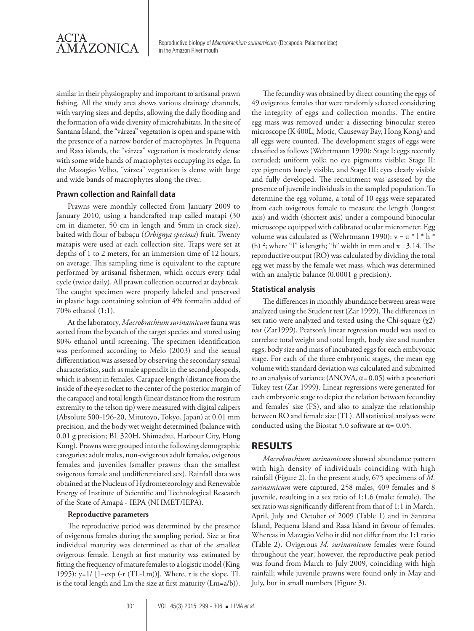

similar in their physiography and important to artisanal prawn fishing. All the study area shows various drainage channels, with varying sizes and depths, allowing the daily flooding and the formation of a wide diversity of microhabitats. In the site of Santana Island, the "várzea" vegetation is open and sparse with the presence of a narrow border of macrophytes. In Pequena and Rasa islands, the "várzea" vegetation is moderately dense with some wide bands of macrophytes occupying its edge. In the Mazagão Velho, "várzea" vegetation is dense with large and wide bands of macrophytes along the river.

#### **Prawn collection and Rainfall data**

Prawns were monthly collected from January 2009 to January 2010, using a handcrafted trap called matapi (30 cm in diameter, 50 cm in length and 5mm in crack size), baited with flour of babaçu (*Orbignya speciosa*) fruit. Twenty matapis were used at each collection site. Traps were set at depths of 1 to 2 meters, for an immersion time of 12 hours, on average. This sampling time is equivalent to the capture performed by artisanal fishermen, which occurs every tidal cycle (twice daily). All prawn collection occurred at daybreak. The caught specimen were properly labeled and preserved in plastic bags containing solution of 4% formalin added of 70% ethanol (1:1).

At the laboratory, *Macrobrachium surinamicum* fauna was sorted from the bycatch of the target species and stored using 80% ethanol until screening. The specimen identification was performed according to Melo (2003) and the sexual differentiation was assessed by observing the secondary sexual characteristics, such as male appendix in the second pleopods, which is absent in females. Carapace length (distance from the inside of the eye socket to the center of the posterior margin of the carapace) and total length (linear distance from the rostrum extremity to the telson tip) were measured with digital calipers (Absolute 500-196-20, Mitutoyo, Tokyo, Japan) at 0.01 mm precision, and the body wet weight determined (balance with 0.01 g precision; BL 320H, Shimadzu, Harbour City, Hong Kong). Prawns were grouped into the following demographic categories: adult males, non-ovigerous adult females, ovigerous females and juveniles (smaller prawns than the smallest ovigerous female and undifferentiated sex). Rainfall data was obtained at the Nucleus of Hydrometeorology and Renewable Energy of Institute of Scientific and Technological Research of the State of Amapá - IEPA (NHMET/IEPA).

#### **Reproductive parameters**

The reproductive period was determined by the presence of ovigerous females during the sampling period. Size at first individual maturity was determined as that of the smallest ovigerous female. Length at first maturity was estimated by fitting the frequency of mature females to a logistic model (King 1995): y=1/ [1+exp (-r (TL-Lm))]. Where, r is the slope, TL is the total length and Lm the size at first maturity (Lm=a/b)).

The fecundity was obtained by direct counting the eggs of 49 ovigerous females that were randomly selected considering the integrity of eggs and collection months. The entire egg mass was removed under a dissecting binocular stereo microscope (K 400L, Motic, Causeway Bay, Hong Kong) and all eggs were counted. The development stages of eggs were classified as follows (Wehrtmann 1990): Stage I: eggs recently extruded; uniform yolk; no eye pigments visible; Stage II: eye pigments barely visible, and Stage III: eyes clearly visible and fully developed. The recruitment was assessed by the presence of juvenile individuals in the sampled population. To determine the egg volume, a total of 10 eggs were separated from each ovigerous female to measure the length (longest axis) and width (shortest axis) under a compound binocular microscope equipped with calibrated ocular micrometer. Egg volume was calculated as (Wehrtmann 1990):  $v = \pi * 1 * h *$ (h) <sup>2</sup>; where "l" is length; "h" width in mm and  $\pi$  =3.14. The reproductive output (RO) was calculated by dividing the total egg wet mass by the female wet mass, which was determined with an analytic balance (0.0001 g precision).

#### **Statistical analysis**

The differences in monthly abundance between areas were analyzed using the Student test (Zar 1999). The differences in sex ratio were analyzed and tested using the Chi-square (χ2) test (Zar1999). Pearson's linear regression model was used to correlate total weight and total length, body size and number eggs, body size and mass of incubated eggs for each embryonic stage. For each of the three embryonic stages, the mean egg volume with standard deviation was calculated and submitted to an analysis of variance (ANOVA, α= 0.05) with a posteriori Tukey test (Zar 1999). Linear regressions were generated for each embryonic stage to depict the relation between fecundity and females' size (FS), and also to analyze the relationship between RO and female size (TL). All statistical analyses were conducted using the Biostat 5.0 software at  $\alpha$ = 0.05.

### **RESULTS**

*Macrobrachium surinamicum* showed abundance pattern with high density of individuals coinciding with high rainfall (Figure 2). In the present study, 675 specimens of *M. surinamicum* were captured, 258 males, 409 females and 8 juvenile, resulting in a sex ratio of 1:1.6 (male: female). The sex ratio was significantly different from that of 1:1 in March, April, July and October of 2009 (Table 1) and in Santana Island, Pequena Island and Rasa Island in favour of females. Whereas in Mazagão Velho it did not differ from the 1:1 ratio (Table 2). Ovigerous *M. surinamicum* females were found throughout the year; however, the reproductive peak period was found from March to July 2009, coinciding with high rainfall; while juvenile prawns were found only in May and July, but in small numbers (Figure 3).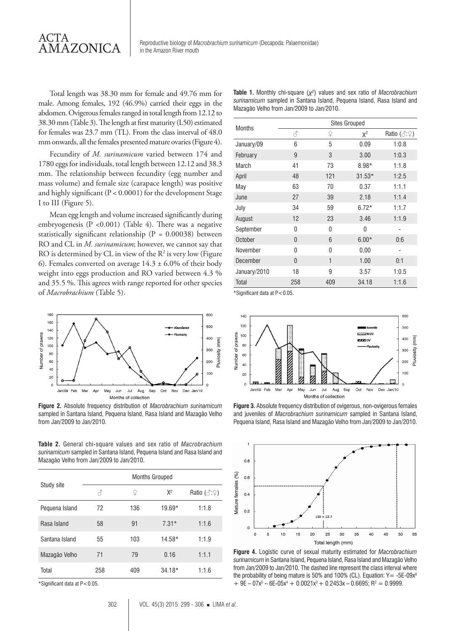Total length was 38.30 mm for female and 49.76 mm for male. Among females, 192 (46.9%) carried their eggs in the abdomen. Ovigerous females ranged in total length from 12.12 to 38.30 mm (Table 3). The length at first maturity (L50) estimated for females was 23.7 mm (TL). From the class interval of 48.0 mm onwards, all the females presented mature ovaries (Figure 4).

Fecundity of *M. surinamicum* varied between 174 and 1780 eggs for individuals, total length between 12.12 and 38.3 mm. The relationship between fecundity (egg number and mass volume) and female size (carapace length) was positive and highly significant (P < 0.0001) for the development Stage I to III (Figure 5).

Mean egg length and volume increased significantly during embryogenesis ( $P < 0.001$ ) (Table 4). There was a negative statistically significant relationship (P = 0.00038) between RO and CL in *M. surinamicum*; however, we cannot say that RO is determined by CL in view of the  $R^2$  is very low (Figure 6). Females converted on average  $14.3 \pm 6.0\%$  of their body weight into eggs production and RO varied between 4.3 % and 35.5 %. This agrees with range reported for other species of *Macrobrachium* (Table 5).



**Figure 2.** Absolute frequency distribution of *Macrobrachium surinamicum* sampled in Santana Island, Pequena Island, Rasa Island and Mazagão Velho from Jan/2009 to Jan/2010.

**Table 2.** General chi-square values and sex ratio of *Macrobrachium surinamicum* sampled in Santana Island, Pequena Island and Rasa Island and Mazagão Velho from Jan/2009 to Jan/2010.

|                | <b>Months Grouped</b> |     |          |                                |  |  |
|----------------|-----------------------|-----|----------|--------------------------------|--|--|
| Study site     | б                     | ¥   | $X^2$    | Ratio $(\text{A}:\mathcal{Q})$ |  |  |
| Pequena Island | 72                    | 136 | $19.69*$ | 1:1.8                          |  |  |
| Rasa Island    | 58                    | 91  | $7.31*$  | 1:1.6                          |  |  |
| Santana Island | 55                    | 103 | $14.58*$ | 1:1.9                          |  |  |
| Mazagão Velho  | 71                    | 79  | 0.16     | 1:1.1                          |  |  |
| Total          | 258                   | 409 | $34.18*$ | 1:1.6                          |  |  |

\*Significant data at P<0.05.

|               | <b>Sites Grouped</b> |                 |          |                                 |  |  |
|---------------|----------------------|-----------------|----------|---------------------------------|--|--|
| <b>Months</b> | б                    | ¥               | $X^2$    | Ratio $(\text{Im}\,\mathbb{Q})$ |  |  |
| January/09    | 6                    | 5               | 0.09     | 1:0.8                           |  |  |
| February      | 9                    | 3               | 3.00     | 1:0.3                           |  |  |
| March         | 41                   | 73              | $8.98*$  | 1:1.8                           |  |  |
| April         | 48                   | 121             | $31.53*$ | 1:2.5                           |  |  |
| May           | 63                   | 70              | 0.37     | 1:1.1                           |  |  |
| June          | 27                   | 39              | 2.18     | 1:1.4                           |  |  |
| July          | 34                   | 59              | $6.72*$  | 1:1.7                           |  |  |
| August        | 12                   | 23              | 3.46     | 1:1.9                           |  |  |
| September     | $\Omega$             | $\Omega$        | $\Omega$ |                                 |  |  |
| October       | $\Omega$             | $6\overline{6}$ | $6.00*$  | 0:6                             |  |  |
| November      | $\Omega$             | $\Omega$        | 0,00     |                                 |  |  |
| December      | $\Omega$             | 1               | 1.00     | 0:1                             |  |  |
| January/2010  | 18                   | 9               | 3.57     | 1:0.5                           |  |  |
| Total         | 258                  | 409             | 34.18    | 1:1.6                           |  |  |

\*Significant data at P<0.05.



**Figure 3.** Absolute frequency distribution of ovigerous, non-ovigerous females and juveniles of *Macrobrachium surinamicum* sampled in Santana Island, Pequena Island, Rasa Island and Mazagão Velho from Jan/2009 to Jan/2010.



**Figure 4.** Logistic curve of sexual maturity estimated for *Macrobrachium surinamicum* in Santana Island, Pequena Island, Rasa Island and Mazagão Velho from Jan/2009 to Jan/2010. The dashed line represent the class interval where the probability of being mature is 50% and 100% (CL). Equation:  $Y = -5E-09x^6$  $+9E - 07x^{5} - 6E - 05x^{4} + 0.0021x^{3} + 0.2453x - 0.6695$ ; R<sup>2</sup> = 0.9999.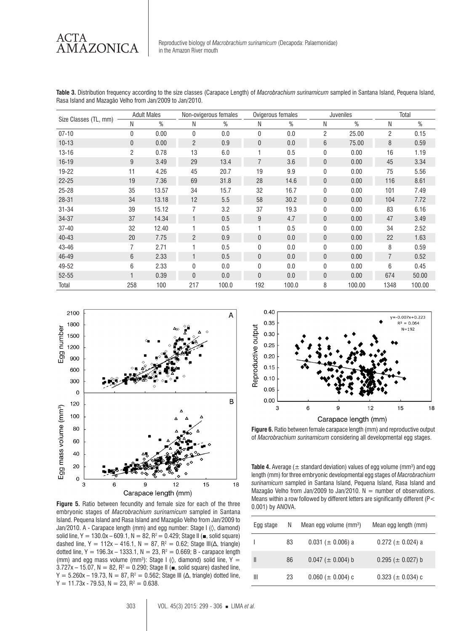ACTA AMAZONICA

Reproductive biology of *Macrobrachium surinamicum* (Decapoda: Palaemonidae) in the Amazon River mouth

**Table 3.** Distribution frequency according to the size classes (Carapace Length) of *Macrobrachium surinamicum* sampled in Santana Island, Pequena Island, Rasa Island and Mazagão Velho from Jan/2009 to Jan/2010.

| Size Classes (TL, mm) |                | <b>Adult Males</b> | Non-ovigerous females |       | Ovigerous females |       | Juveniles      |        | Total          |        |
|-----------------------|----------------|--------------------|-----------------------|-------|-------------------|-------|----------------|--------|----------------|--------|
|                       | Ν              | %                  | Ν                     | $\%$  | Ν                 | %     | Ν              | %      | Ν              | %      |
| $07 - 10$             | 0              | 0.00               | 0                     | 0.0   | 0                 | 0.0   | $\overline{2}$ | 25.00  | $\overline{c}$ | 0.15   |
| $10 - 13$             | $\overline{0}$ | 0.00               | $\overline{2}$        | 0.9   | $\mathbf 0$       | 0.0   | 6              | 75.00  | 8              | 0.59   |
| $13 - 16$             | 2              | 0.78               | 13                    | 6.0   |                   | 0.5   | 0              | 0.00   | 16             | 1.19   |
| $16-19$               | 9              | 3.49               | 29                    | 13.4  | 7                 | 3.6   | 0              | 0.00   | 45             | 3.34   |
| 19-22                 | 11             | 4.26               | 45                    | 20.7  | 19                | 9.9   | 0              | 0.00   | 75             | 5.56   |
| $22 - 25$             | 19             | 7.36               | 69                    | 31.8  | 28                | 14.6  | 0              | 0.00   | 116            | 8.61   |
| $25 - 28$             | 35             | 13.57              | 34                    | 15.7  | 32                | 16.7  | 0              | 0.00   | 101            | 7.49   |
| $28 - 31$             | 34             | 13.18              | 12                    | 5.5   | 58                | 30.2  | 0              | 0.00   | 104            | 7.72   |
| $31 - 34$             | 39             | 15.12              |                       | 3.2   | 37                | 19.3  | 0              | 0.00   | 83             | 6.16   |
| 34-37                 | 37             | 14.34              |                       | 0.5   | 9                 | 4.7   | 0              | 0.00   | 47             | 3.49   |
| $37 - 40$             | 32             | 12.40              |                       | 0.5   |                   | 0.5   | 0              | 0.00   | 34             | 2.52   |
| 40-43                 | 20             | 7.75               | $\overline{2}$        | 0.9   | 0                 | 0.0   | 0              | 0.00   | 22             | 1.63   |
| 43-46                 | 7              | 2.71               |                       | 0.5   | 0                 | 0.0   | 0              | 0.00   | 8              | 0.59   |
| 46-49                 | 6              | 2.33               |                       | 0.5   | 0                 | 0.0   | 0              | 0.00   | $\overline{7}$ | 0.52   |
| 49-52                 | 6              | 2.33               | 0                     | 0.0   | 0                 | 0.0   | 0              | 0.00   | 6              | 0.45   |
| 52-55                 |                | 0.39               | $\mathbf{0}$          | 0.0   | 0                 | 0.0   | 0              | 0.00   | 674            | 50.00  |
| Total                 | 258            | 100                | 217                   | 100.0 | 192               | 100.0 | 8              | 100.00 | 1348           | 100.00 |



**Figure 5.** Ratio between fecundity and female size for each of the three embryonic stages of *Macrobrachium surinamicum* sampled in Santana Island. Pequena Island and Rasa Island and Mazagão Velho from Jan/2009 to Jan/2010. A - Carapace length (mm) and egg number: Stage I (◊, diamond) solid line, Y = 130.0x – 609.1, N = 82, R<sup>2</sup> = 0.429; Stage II ( $\blacksquare$ , solid square) dashed line, Y = 112x – 416.1, N = 87, R<sup>2</sup> = 0.62; Stage III(∆, triangle) dotted line, Y = 196.3x – 1333.1, N = 23, R<sup>2</sup> = 0.669; B - carapace length (mm) and egg mass volume (mm<sup>3</sup>): Stage I ( $\Diamond$ , diamond) solid line, Y = 3.727x – 15.07, N = 82, R<sup>2</sup> = 0.290; Stage II ( $\blacksquare$ , solid square) dashed line,  $Y = 5.260x - 19.73$ , N = 87, R<sup>2</sup> = 0.562; Stage III (Δ, triangle) dotted line,  $Y = 11.73x - 79.53, N = 23, R<sup>2</sup> = 0.638.$ 



**Figure 6.** Ratio between female carapace length (mm) and reproductive output of *Macrobrachium surinamicum* considering all developmental egg stages.

**Table 4.** Average ( $\pm$  standard deviation) values of egg volume (mm<sup>3</sup>) and egg length (mm) for three embryonic developmental egg stages of *Macrobrachium surinamicum* sampled in Santana Island, Pequena Island, Rasa Island and Mazagão Velho from Jan/2009 to Jan/2010.  $N =$  number of observations. Means within a row followed by different letters are significantly different (P< 0.001) by ANOVA.

| Egg stage | N  | Mean egg volume (mm <sup>3</sup> ) | Mean egg length (mm)   |
|-----------|----|------------------------------------|------------------------|
|           | 83 | 0.031 ( $\pm$ 0.006) a             | 0.272 ( $\pm$ 0.024) a |
| Ш         | 86 | $0.047 \ (\pm 0.004) b$            | 0.295 ( $\pm$ 0.027) b |
| Ш         | 23 | 0.060 ( $\pm$ 0.004) c             | 0.323 ( $\pm$ 0.034) c |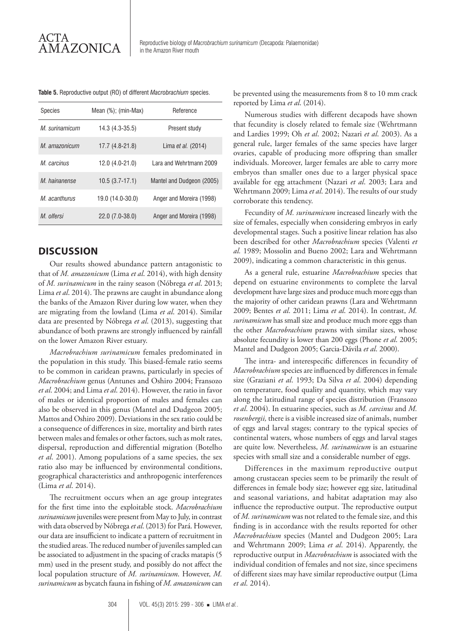**Table 5.** Reproductive output (RO) of different *Macrobrachium* species.

| <b>Species</b> | Mean $(\%)$ ; (min-Max) | Reference                 |
|----------------|-------------------------|---------------------------|
| M surinamicum  | 14.3 (4.3-35.5)         | Present study             |
| M. amazonicum  | $17.7(4.8-21.8)$        | Lima <i>et al.</i> (2014) |
| M carcinus     | $12.0(4.0-21.0)$        | Lara and Wehrtmann 2009   |
| M. hainanense  | $10.5(3.7-17.1)$        | Mantel and Dudgeon (2005) |
| M acanthurus   | 19.0 (14.0-30.0)        | Anger and Moreira (1998)  |
| M olfersi      | 22.0 (7.0-38.0)         | Anger and Moreira (1998)  |

## **DISCUSSION**

Our results showed abundance pattern antagonistic to that of *M. amazonicum* (Lima *et al*. 2014), with high density of *M. surinamicum* in the rainy season (Nóbrega *et al*. 2013; Lima *et al*. 2014). The prawns are caught in abundance along the banks of the Amazon River during low water, when they are migrating from the lowland (Lima *et al*. 2014). Similar data are presented by Nóbrega *et al*. (2013), suggesting that abundance of both prawns are strongly influenced by rainfall on the lower Amazon River estuary.

*Macrobrachium surinamicum* females predominated in the population in this study. This biased-female ratio seems to be common in caridean prawns, particularly in species of *Macrobrachium* genus (Antunes and Oshiro 2004; Fransozo *et al*. 2004; and Lima *et al*. 2014). However, the ratio in favor of males or identical proportion of males and females can also be observed in this genus (Mantel and Dudgeon 2005; Mattos and Oshiro 2009). Deviations in the sex ratio could be a consequence of differences in size, mortality and birth rates between males and females or other factors, such as molt rates, dispersal, reproduction and differential migration (Botelho *et al*. 2001). Among populations of a same species, the sex ratio also may be influenced by environmental conditions, geographical characteristics and anthropogenic interferences (Lima *et al*. 2014).

The recruitment occurs when an age group integrates for the first time into the exploitable stock. *Macrobrachium surinamicum* juveniles were present from May to July, in contrast with data observed by Nóbrega *et al*. (2013) for Pará. However, our data are insufficient to indicate a pattern of recruitment in the studied areas. The reduced number of juveniles sampled can be associated to adjustment in the spacing of cracks matapis (5 mm) used in the present study, and possibly do not affect the local population structure of *M. surinamicum*. However, *M. surinamicum* as bycatch fauna in fishing of *M. amazonicum* can be prevented using the measurements from 8 to 10 mm crack reported by Lima *et al*. (2014).

Numerous studies with different decapods have shown that fecundity is closely related to female size (Wehrtmann and Lardies 1999; Oh *et al*. 2002; Nazari *et al*. 2003). As a general rule, larger females of the same species have larger ovaries, capable of producing more offspring than smaller individuals. Moreover, larger females are able to carry more embryos than smaller ones due to a larger physical space available for egg attachment (Nazari *et al*. 2003; Lara and Wehrtmann 2009; Lima *et al*. 2014). The results of our study corroborate this tendency.

Fecundity of *M. surinamicum* increased linearly with the size of females, especially when considering embryos in early developmental stages. Such a positive linear relation has also been described for other *Macrobrachium* species (Valenti *et al.* 1989; Mossolin and Bueno 2002; Lara and Wehrtmann 2009), indicating a common characteristic in this genus.

As a general rule, estuarine *Macrobrachium* species that depend on estuarine environments to complete the larval development have large sizes and produce much more eggs than the majority of other caridean prawns (Lara and Wehrtmann 2009; Bentes *et al*. 2011; Lima *et al*. 2014). In contrast, *M. surinamicum* has small size and produce much more eggs than the other *Macrobrachium* prawns with similar sizes, whose absolute fecundity is lower than 200 eggs (Phone *et al*. 2005; Mantel and Dudgeon 2005; Garcia-Dávila *et al*. 2000).

The intra- and interespecific differences in fecundity of *Macrobrachium* species are influenced by differences in female size (Graziani *et al*. 1993; Da Silva *et al*. 2004) depending on temperature, food quality and quantity, which may vary along the latitudinal range of species distribution (Fransozo *et al*. 2004). In estuarine species, such as *M. carcinus* and *M. rosenbergii,* there is a visible increased size of animals, number of eggs and larval stages; contrary to the typical species of continental waters, whose numbers of eggs and larval stages are quite low. Nevertheless, *M. surinamicum* is an estuarine species with small size and a considerable number of eggs.

Differences in the maximum reproductive output among crustacean species seem to be primarily the result of differences in female body size; however egg size, latitudinal and seasonal variations, and habitat adaptation may also influence the reproductive output. The reproductive output of *M. surinamicum* was not related to the female size, and this finding is in accordance with the results reported for other *Macrobrachium* species (Mantel and Dudgeon 2005; Lara and Wehrtmann 2009; Lima *et al*. 2014). Apparently, the reproductive output in *Macrobrachium* is associated with the individual condition of females and not size, since specimens of different sizes may have similar reproductive output (Lima *et al*. 2014).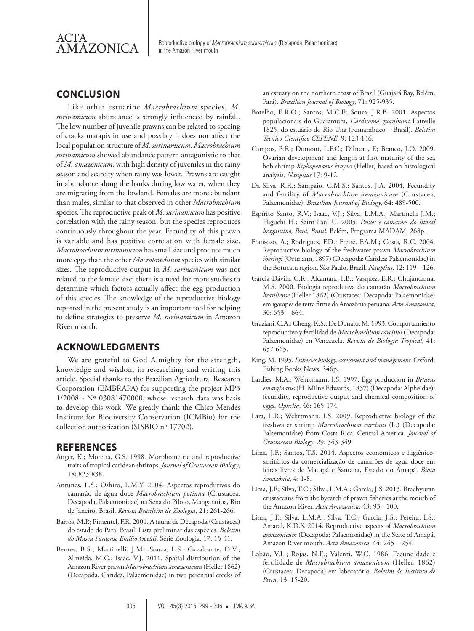

Reproductive biology of *Macrobrachium surinamicum* (Decapoda: Palaemonidae) in the Amazon River mouth

### **CONCLUSION**

Like other estuarine *Macrobrachium* species, *M. surinamicum* abundance is strongly influenced by rainfall. The low number of juvenile prawns can be related to spacing of cracks matapis in use and possibly it does not affect the local population structure of *M. surinamicum*. *Macrobrachium surinamicum* showed abundance pattern antagonistic to that of *M. amazonicum*, with high density of juveniles in the rainy season and scarcity when rainy was lower. Prawns are caught in abundance along the banks during low water, when they are migrating from the lowland. Females are more abundant than males, similar to that observed in other *Macrobrachium* species. The reproductive peak of *M. surinamicum* has positive correlation with the rainy season, but the species reproduces continuously throughout the year. Fecundity of this prawn is variable and has positive correlation with female size. *Macrobrachium surinamicum* has small size and produce much more eggs than the other *Macrobrachium* species with similar sizes. The reproductive output in *M. surinamicum* was not related to the female size; there is a need for more studies to determine which factors actually affect the egg production of this species. The knowledge of the reproductive biology reported in the present study is an important tool for helping to define strategies to preserve *M. surinamicum* in Amazon River mouth.

## **ACKNOWLEDGMENTS**

We are grateful to God Almighty for the strength, knowledge and wisdom in researching and writing this article. Special thanks to the Brazilian Agricultural Research Corporation (EMBRAPA) for supporting the project MP3 1/2008 - Nº 03081470000, whose research data was basis to develop this work. We greatly thank the Chico Mendes Institute for Biodiversity Conservation (ICMBio) for the collection authorization (SISBIO nº 17702).

#### **REFERENCES**

- Anger, K.; Moreira, G.S. 1998. Morphometric and reproductive traits of tropical caridean shrimps. *Journal of Crustacean Biology*, 18: 823-838.
- Antunes, L.S.; Oshiro, L.M.Y. 2004. Aspectos reprodutivos do camarão de água doce *Macrobrachium potiuna* (Crustacea, Decapoda, Palaemonidae) na Sena do Piloto, Mangaratiba, Rio de Janeiro, Brasil. *Revista Brasileira de Zoologia*, 21: 261-266.
- Barros, M.P.; Pimentel, F.R. 2001. A fauna de Decapoda (Crustacea) do estado do Pará, Brasil: Lista preliminar das espécies. *Boletim do Museu Paraense Emílio Goeldi*, Série Zoologia, 17: 15-41.
- Bentes, B.S.; Martinelli, J.M.; Souza, L.S.; Cavalcante, D.V.; Almeida, M.C.; Isaac, V.J. 2011. Spatial distribution of the Amazon River prawn *Macrobrachium amazonicum* (Heller 1862) (Decapoda, Caridea, Palaemonidae) in two perennial creeks of

an estuary on the northern coast of Brazil (Guajará Bay, Belém, Pará). *Brazilian Journal of Biology*, 71: 925-935.

- Botelho, E.R.O.; Santos, M.C.F.; Souza, J.R.B. 2001. Aspectos populacionais do Guaiamum, *Cardisoma guanhumi* Latreille 1825, do estuário do Rio Una (Pernambuco – Brasil). *Boletim Técnico Científico CEPENE*, 9: 123-146.
- Campos, B.R.; Dumont, L.F.C.; D'Incao, F.; Branco, J.O. 2009. Ovarian development and length at first maturity of the sea bob shrimp *Xiphopenaeus kroyeri* (Heller) based on histological analysis. *Nauplius* 17: 9-12.
- Da Silva, R.R.; Sampaio, C.M.S.; Santos, J.A. 2004. Fecundity and fertility of *Macrobrachium amazonicum* (Crustacea, Palaemonidae). *Brazilian Journal of Biology*, 64: 489-500.
- Espírito Santo, R.V.; Isaac, V.J.; Silva, L.M.A.; Martinelli J.M.; Higuchi H.; Saint-Paul U. 2005. *Peixes e camarões do litoral bragantino, Pará, Brasil*. Belém, Programa MADAM, 268p.
- Fransozo, A.; Rodrigues, F.D.; Freire, F.A.M.; Costa, R.C. 2004. Reproductive biology of the freshwater prawn *Macrobrachium iheringi* (Ortmann, 1897) (Decapoda: Caridea: Palaemonidae) in the Botucatu region, São Paulo, Brazil. *Nauplius*, 12: 119 – 126.
- Garcia-Dávila, C.R.; Alcantara, F.B.; Vasquez, E.R.; Chujandama, M.S. 2000. Biologia reprodutiva do camarão *Macrobrachium brasiliense* (Heller 1862) (Crustacea: Decapoda: Palaemonidae) em igarapés de terra firme da Amazônia peruana. *Acta Amazonica*, 30: 653 – 664.
- Graziani, C.A.; Cheng, K.S.; De Donato, M. 1993. Comportamiento reproductivo y fertilidad de *Macrobrachium carcinus* (Decapoda: Palaemonidae) en Venezuela. *Revista de Biología Tropical*, 41: 657-665.
- King, M. 1995. *Fisheries biology, assessment and management.* Oxford: Fishing Books News. 346p.
- Lardies, M.A.; Wehrtmann, I.S. 1997. Egg production in *Betaeus emarginatus* (H. Milne Edwards, 1837) (Decapoda: Alpheidae): fecundity, reproductive output and chemical composition of eggs. *Ophelia*, 46: 165-174.
- Lara, L.R.; Wehrtmann, I.S. 2009. Reproductive biology of the freshwater shrimp *Macrobrachium carcinus* (L.) (Decapoda: Palaemonidae) from Costa Rica, Central America. *Journal of Crustacean Biology*, 29: 343-349.
- Lima, J.F.; Santos, T.S. 2014. Aspectos econômicos e higiênicosanitários da comercialização de camarões de água doce em feiras livres de Macapá e Santana, Estado do Amapá. *Biota Amazônia*, 4: 1-8.
- Lima, J.F.; Silva, T.C.; Silva, L.M.A.; Garcia, J.S. 2013. Brachyuran crustaceans from the bycatch of prawn fisheries at the mouth of the Amazon River. *Acta Amazonica*, 43: 93 - 100.
- Lima, J.F.; Silva, L.M.A.; Silva, T.C.; Garcia, J.S.; Pereira, I.S.; Amaral, K.D.S. 2014. Reproductive aspects of *Macrobrachium amazonicum* (Decapoda: Palaemonidae) in the State of Amapá, Amazon River mouth. *Acta Amazonica*, 44: 245 – 254.
- Lobão, V.L.; Rojas, N.E.; Valenti, W.C. 1986. Fecundidade e fertilidade de *Macrobrachium amazonicum* (Heller, 1862) (Crustacea, Decapoda) em laboratório. *Boletim do Instituto de Pesca*, 13: 15-20.